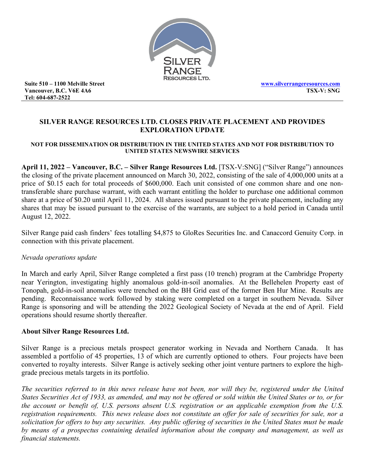

**Suite 510 – 1100 Melville Street Vancouver, B.C. V6E 4A6 Tel: 604-687-2522**

# **SILVER RANGE RESOURCES LTD. CLOSES PRIVATE PLACEMENT AND PROVIDES EXPLORATION UPDATE**

### **NOT FOR DISSEMINATION OR DISTRIBUTION IN THE UNITED STATES AND NOT FOR DISTRIBUTION TO UNITED STATES NEWSWIRE SERVICES**

**April 11, 2022 – Vancouver, B.C. – Silver Range Resources Ltd.** [TSX-V:SNG] ("Silver Range") announces the closing of the private placement announced on March 30, 2022, consisting of the sale of 4,000,000 units at a price of \$0.15 each for total proceeds of \$600,000. Each unit consisted of one common share and one nontransferable share purchase warrant, with each warrant entitling the holder to purchase one additional common share at a price of \$0.20 until April 11, 2024. All shares issued pursuant to the private placement, including any shares that may be issued pursuant to the exercise of the warrants, are subject to a hold period in Canada until August 12, 2022.

Silver Range paid cash finders' fees totalling \$4,875 to GloRes Securities Inc. and Canaccord Genuity Corp. in connection with this private placement.

## *Nevada operations update*

In March and early April, Silver Range completed a first pass (10 trench) program at the Cambridge Property near Yerington, investigating highly anomalous gold-in-soil anomalies. At the Bellehelen Property east of Tonopah, gold-in-soil anomalies were trenched on the BH Grid east of the former Ben Hur Mine. Results are pending. Reconnaissance work followed by staking were completed on a target in southern Nevada. Silver Range is sponsoring and will be attending the 2022 Geological Society of Nevada at the end of April. Field operations should resume shortly thereafter.

## **About Silver Range Resources Ltd.**

Silver Range is a precious metals prospect generator working in Nevada and Northern Canada. It has assembled a portfolio of 45 properties, 13 of which are currently optioned to others. Four projects have been converted to royalty interests. Silver Range is actively seeking other joint venture partners to explore the highgrade precious metals targets in its portfolio.

*The securities referred to in this news release have not been, nor will they be, registered under the United States Securities Act of 1933, as amended, and may not be offered or sold within the United States or to, or for the account or benefit of, U.S. persons absent U.S. registration or an applicable exemption from the U.S. registration requirements. This news release does not constitute an offer for sale of securities for sale, nor a solicitation for offers to buy any securities. Any public offering of securities in the United States must be made by means of a prospectus containing detailed information about the company and management, as well as financial statements.*